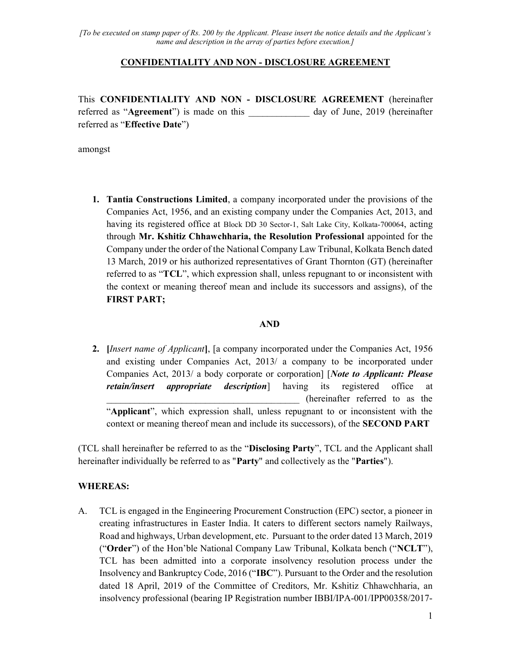#### CONFIDENTIALITY AND NON - DISCLOSURE AGREEMENT

This CONFIDENTIALITY AND NON - DISCLOSURE AGREEMENT (hereinafter referred as "Agreement") is made on this \_\_\_\_\_\_\_\_\_\_\_\_\_ day of June, 2019 (hereinafter referred as "Effective Date")

amongst

1. Tantia Constructions Limited, a company incorporated under the provisions of the Companies Act, 1956, and an existing company under the Companies Act, 2013, and having its registered office at Block DD 30 Sector-1, Salt Lake City, Kolkata-700064, acting through Mr. Kshitiz Chhawchharia, the Resolution Professional appointed for the Company under the order of the National Company Law Tribunal, Kolkata Bench dated 13 March, 2019 or his authorized representatives of Grant Thornton (GT) (hereinafter referred to as "TCL", which expression shall, unless repugnant to or inconsistent with the context or meaning thereof mean and include its successors and assigns), of the FIRST PART;

#### AND

2. *[Insert name of Applicant*], [a company incorporated under the Companies Act, 1956 and existing under Companies Act, 2013/ a company to be incorporated under Companies Act, 2013/ a body corporate or corporation] [Note to Applicant: Please retain/insert appropriate description having its registered office at \_\_\_\_\_\_\_\_\_\_\_\_\_\_\_\_\_\_\_\_\_\_\_\_\_\_\_\_\_\_\_\_\_\_\_\_\_\_\_\_\_ (hereinafter referred to as the "Applicant", which expression shall, unless repugnant to or inconsistent with the context or meaning thereof mean and include its successors), of the SECOND PART

(TCL shall hereinafter be referred to as the "Disclosing Party", TCL and the Applicant shall hereinafter individually be referred to as "Party" and collectively as the "Parties").

#### WHEREAS:

A. TCL is engaged in the Engineering Procurement Construction (EPC) sector, a pioneer in creating infrastructures in Easter India. It caters to different sectors namely Railways, Road and highways, Urban development, etc. Pursuant to the order dated 13 March, 2019 ("Order") of the Hon'ble National Company Law Tribunal, Kolkata bench ("NCLT"), TCL has been admitted into a corporate insolvency resolution process under the Insolvency and Bankruptcy Code, 2016 ("IBC"). Pursuant to the Order and the resolution dated 18 April, 2019 of the Committee of Creditors, Mr. Kshitiz Chhawchharia, an insolvency professional (bearing IP Registration number IBBI/IPA-001/IPP00358/2017-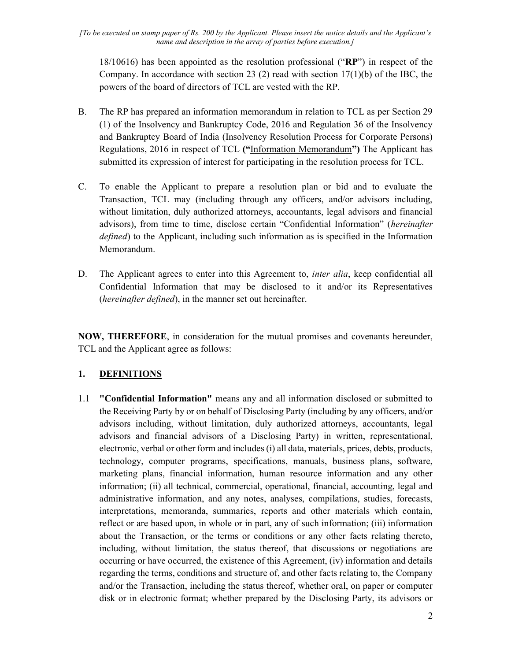18/10616) has been appointed as the resolution professional ("RP") in respect of the Company. In accordance with section 23 (2) read with section  $17(1)(b)$  of the IBC, the powers of the board of directors of TCL are vested with the RP.

- B. The RP has prepared an information memorandum in relation to TCL as per Section 29 (1) of the Insolvency and Bankruptcy Code, 2016 and Regulation 36 of the Insolvency and Bankruptcy Board of India (Insolvency Resolution Process for Corporate Persons) Regulations, 2016 in respect of TCL ("Information Memorandum") The Applicant has submitted its expression of interest for participating in the resolution process for TCL.
- C. To enable the Applicant to prepare a resolution plan or bid and to evaluate the Transaction, TCL may (including through any officers, and/or advisors including, without limitation, duly authorized attorneys, accountants, legal advisors and financial advisors), from time to time, disclose certain "Confidential Information" (hereinafter defined) to the Applicant, including such information as is specified in the Information Memorandum.
- D. The Applicant agrees to enter into this Agreement to, *inter alia*, keep confidential all Confidential Information that may be disclosed to it and/or its Representatives (hereinafter defined), in the manner set out hereinafter.

NOW, THEREFORE, in consideration for the mutual promises and covenants hereunder, TCL and the Applicant agree as follows:

### 1. DEFINITIONS

1.1 "Confidential Information" means any and all information disclosed or submitted to the Receiving Party by or on behalf of Disclosing Party (including by any officers, and/or advisors including, without limitation, duly authorized attorneys, accountants, legal advisors and financial advisors of a Disclosing Party) in written, representational, electronic, verbal or other form and includes (i) all data, materials, prices, debts, products, technology, computer programs, specifications, manuals, business plans, software, marketing plans, financial information, human resource information and any other information; (ii) all technical, commercial, operational, financial, accounting, legal and administrative information, and any notes, analyses, compilations, studies, forecasts, interpretations, memoranda, summaries, reports and other materials which contain, reflect or are based upon, in whole or in part, any of such information; (iii) information about the Transaction, or the terms or conditions or any other facts relating thereto, including, without limitation, the status thereof, that discussions or negotiations are occurring or have occurred, the existence of this Agreement, (iv) information and details regarding the terms, conditions and structure of, and other facts relating to, the Company and/or the Transaction, including the status thereof, whether oral, on paper or computer disk or in electronic format; whether prepared by the Disclosing Party, its advisors or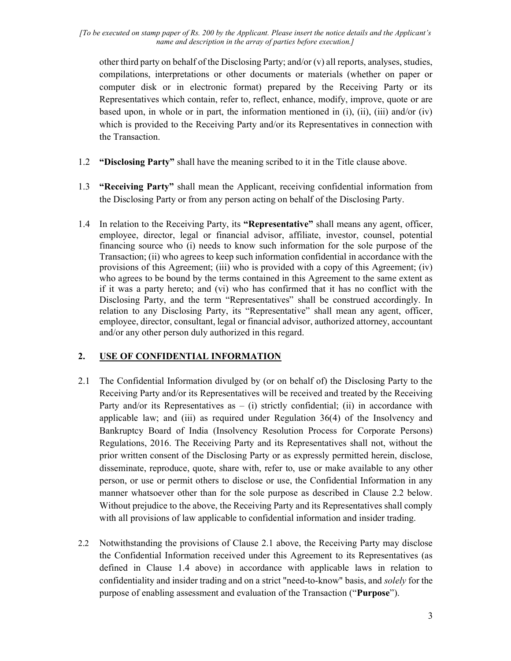other third party on behalf of the Disclosing Party; and/or (v) all reports, analyses, studies, compilations, interpretations or other documents or materials (whether on paper or computer disk or in electronic format) prepared by the Receiving Party or its Representatives which contain, refer to, reflect, enhance, modify, improve, quote or are based upon, in whole or in part, the information mentioned in (i), (ii), (iii) and/or (iv) which is provided to the Receiving Party and/or its Representatives in connection with the Transaction.

- 1.2 "Disclosing Party" shall have the meaning scribed to it in the Title clause above.
- 1.3 "Receiving Party" shall mean the Applicant, receiving confidential information from the Disclosing Party or from any person acting on behalf of the Disclosing Party.
- 1.4 In relation to the Receiving Party, its "Representative" shall means any agent, officer, employee, director, legal or financial advisor, affiliate, investor, counsel, potential financing source who (i) needs to know such information for the sole purpose of the Transaction; (ii) who agrees to keep such information confidential in accordance with the provisions of this Agreement; (iii) who is provided with a copy of this Agreement; (iv) who agrees to be bound by the terms contained in this Agreement to the same extent as if it was a party hereto; and (vi) who has confirmed that it has no conflict with the Disclosing Party, and the term "Representatives" shall be construed accordingly. In relation to any Disclosing Party, its "Representative" shall mean any agent, officer, employee, director, consultant, legal or financial advisor, authorized attorney, accountant and/or any other person duly authorized in this regard.

# 2. USE OF CONFIDENTIAL INFORMATION

- 2.1 The Confidential Information divulged by (or on behalf of) the Disclosing Party to the Receiving Party and/or its Representatives will be received and treated by the Receiving Party and/or its Representatives as  $-$  (i) strictly confidential; (ii) in accordance with applicable law; and (iii) as required under Regulation 36(4) of the Insolvency and Bankruptcy Board of India (Insolvency Resolution Process for Corporate Persons) Regulations, 2016. The Receiving Party and its Representatives shall not, without the prior written consent of the Disclosing Party or as expressly permitted herein, disclose, disseminate, reproduce, quote, share with, refer to, use or make available to any other person, or use or permit others to disclose or use, the Confidential Information in any manner whatsoever other than for the sole purpose as described in Clause 2.2 below. Without prejudice to the above, the Receiving Party and its Representatives shall comply with all provisions of law applicable to confidential information and insider trading.
- 2.2 Notwithstanding the provisions of Clause 2.1 above, the Receiving Party may disclose the Confidential Information received under this Agreement to its Representatives (as defined in Clause 1.4 above) in accordance with applicable laws in relation to confidentiality and insider trading and on a strict "need-to-know" basis, and solely for the purpose of enabling assessment and evaluation of the Transaction ("Purpose").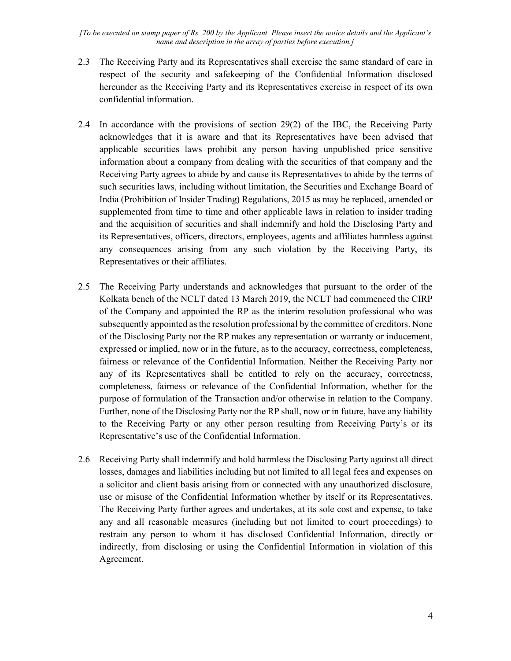- 2.3 The Receiving Party and its Representatives shall exercise the same standard of care in respect of the security and safekeeping of the Confidential Information disclosed hereunder as the Receiving Party and its Representatives exercise in respect of its own confidential information.
- 2.4 In accordance with the provisions of section 29(2) of the IBC, the Receiving Party acknowledges that it is aware and that its Representatives have been advised that applicable securities laws prohibit any person having unpublished price sensitive information about a company from dealing with the securities of that company and the Receiving Party agrees to abide by and cause its Representatives to abide by the terms of such securities laws, including without limitation, the Securities and Exchange Board of India (Prohibition of Insider Trading) Regulations, 2015 as may be replaced, amended or supplemented from time to time and other applicable laws in relation to insider trading and the acquisition of securities and shall indemnify and hold the Disclosing Party and its Representatives, officers, directors, employees, agents and affiliates harmless against any consequences arising from any such violation by the Receiving Party, its Representatives or their affiliates.
- 2.5 The Receiving Party understands and acknowledges that pursuant to the order of the Kolkata bench of the NCLT dated 13 March 2019, the NCLT had commenced the CIRP of the Company and appointed the RP as the interim resolution professional who was subsequently appointed as the resolution professional by the committee of creditors. None of the Disclosing Party nor the RP makes any representation or warranty or inducement, expressed or implied, now or in the future, as to the accuracy, correctness, completeness, fairness or relevance of the Confidential Information. Neither the Receiving Party nor any of its Representatives shall be entitled to rely on the accuracy, correctness, completeness, fairness or relevance of the Confidential Information, whether for the purpose of formulation of the Transaction and/or otherwise in relation to the Company. Further, none of the Disclosing Party nor the RP shall, now or in future, have any liability to the Receiving Party or any other person resulting from Receiving Party's or its Representative's use of the Confidential Information.
- 2.6 Receiving Party shall indemnify and hold harmless the Disclosing Party against all direct losses, damages and liabilities including but not limited to all legal fees and expenses on a solicitor and client basis arising from or connected with any unauthorized disclosure, use or misuse of the Confidential Information whether by itself or its Representatives. The Receiving Party further agrees and undertakes, at its sole cost and expense, to take any and all reasonable measures (including but not limited to court proceedings) to restrain any person to whom it has disclosed Confidential Information, directly or indirectly, from disclosing or using the Confidential Information in violation of this Agreement.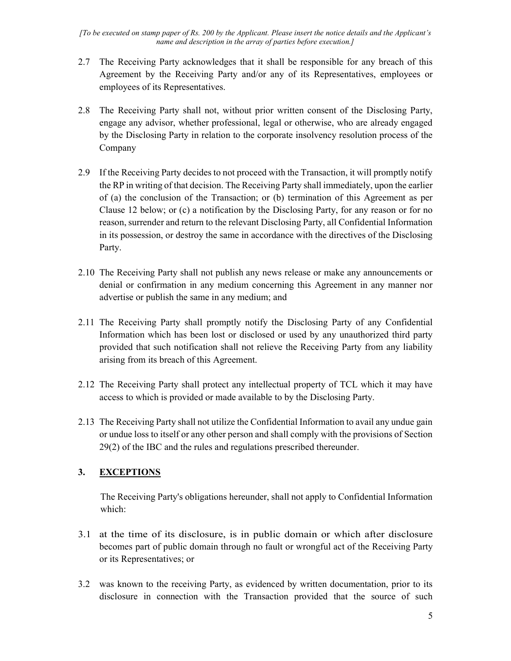- 2.7 The Receiving Party acknowledges that it shall be responsible for any breach of this Agreement by the Receiving Party and/or any of its Representatives, employees or employees of its Representatives.
- 2.8 The Receiving Party shall not, without prior written consent of the Disclosing Party, engage any advisor, whether professional, legal or otherwise, who are already engaged by the Disclosing Party in relation to the corporate insolvency resolution process of the Company
- 2.9 If the Receiving Party decides to not proceed with the Transaction, it will promptly notify the RP in writing of that decision. The Receiving Party shall immediately, upon the earlier of (a) the conclusion of the Transaction; or (b) termination of this Agreement as per Clause 12 below; or (c) a notification by the Disclosing Party, for any reason or for no reason, surrender and return to the relevant Disclosing Party, all Confidential Information in its possession, or destroy the same in accordance with the directives of the Disclosing Party.
- 2.10 The Receiving Party shall not publish any news release or make any announcements or denial or confirmation in any medium concerning this Agreement in any manner nor advertise or publish the same in any medium; and
- 2.11 The Receiving Party shall promptly notify the Disclosing Party of any Confidential Information which has been lost or disclosed or used by any unauthorized third party provided that such notification shall not relieve the Receiving Party from any liability arising from its breach of this Agreement.
- 2.12 The Receiving Party shall protect any intellectual property of TCL which it may have access to which is provided or made available to by the Disclosing Party.
- 2.13 The Receiving Party shall not utilize the Confidential Information to avail any undue gain or undue loss to itself or any other person and shall comply with the provisions of Section 29(2) of the IBC and the rules and regulations prescribed thereunder.

# 3. EXCEPTIONS

The Receiving Party's obligations hereunder, shall not apply to Confidential Information which:

- 3.1 at the time of its disclosure, is in public domain or which after disclosure becomes part of public domain through no fault or wrongful act of the Receiving Party or its Representatives; or
- 3.2 was known to the receiving Party, as evidenced by written documentation, prior to its disclosure in connection with the Transaction provided that the source of such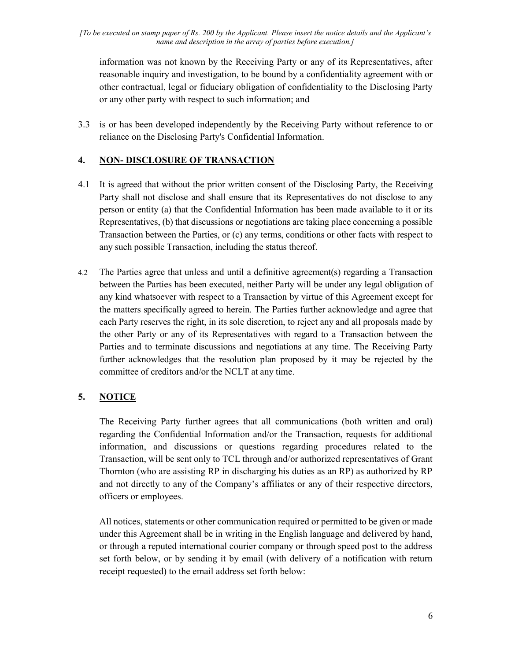information was not known by the Receiving Party or any of its Representatives, after reasonable inquiry and investigation, to be bound by a confidentiality agreement with or other contractual, legal or fiduciary obligation of confidentiality to the Disclosing Party or any other party with respect to such information; and

3.3 is or has been developed independently by the Receiving Party without reference to or reliance on the Disclosing Party's Confidential Information.

### 4. NON- DISCLOSURE OF TRANSACTION

- 4.1 It is agreed that without the prior written consent of the Disclosing Party, the Receiving Party shall not disclose and shall ensure that its Representatives do not disclose to any person or entity (a) that the Confidential Information has been made available to it or its Representatives, (b) that discussions or negotiations are taking place concerning a possible Transaction between the Parties, or (c) any terms, conditions or other facts with respect to any such possible Transaction, including the status thereof.
- 4.2 The Parties agree that unless and until a definitive agreement(s) regarding a Transaction between the Parties has been executed, neither Party will be under any legal obligation of any kind whatsoever with respect to a Transaction by virtue of this Agreement except for the matters specifically agreed to herein. The Parties further acknowledge and agree that each Party reserves the right, in its sole discretion, to reject any and all proposals made by the other Party or any of its Representatives with regard to a Transaction between the Parties and to terminate discussions and negotiations at any time. The Receiving Party further acknowledges that the resolution plan proposed by it may be rejected by the committee of creditors and/or the NCLT at any time.

# 5. NOTICE

The Receiving Party further agrees that all communications (both written and oral) regarding the Confidential Information and/or the Transaction, requests for additional information, and discussions or questions regarding procedures related to the Transaction, will be sent only to TCL through and/or authorized representatives of Grant Thornton (who are assisting RP in discharging his duties as an RP) as authorized by RP and not directly to any of the Company's affiliates or any of their respective directors, officers or employees.

All notices, statements or other communication required or permitted to be given or made under this Agreement shall be in writing in the English language and delivered by hand, or through a reputed international courier company or through speed post to the address set forth below, or by sending it by email (with delivery of a notification with return receipt requested) to the email address set forth below: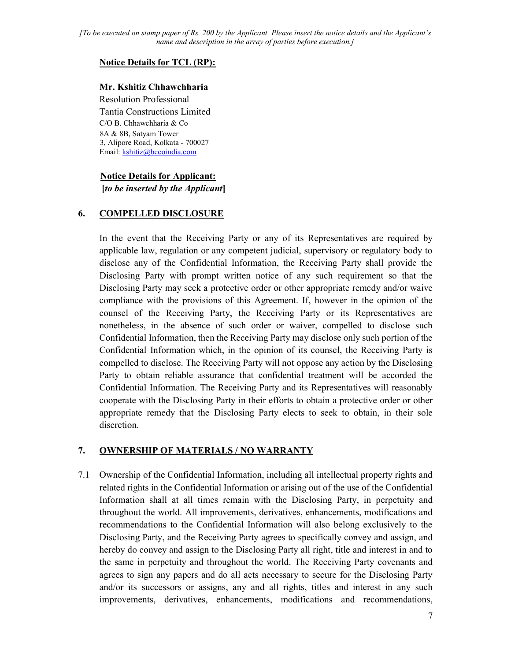#### Notice Details for TCL (RP):

### Mr. Kshitiz Chhawchharia

Resolution Professional Tantia Constructions Limited C/O B. Chhawchharia & Co 8A & 8B, Satyam Tower 3, Alipore Road, Kolkata - 700027 Email: kshitiz@bccoindia.com

### Notice Details for Applicant:  $[to be inserted by the Application]$

#### 6. COMPELLED DISCLOSURE

In the event that the Receiving Party or any of its Representatives are required by applicable law, regulation or any competent judicial, supervisory or regulatory body to disclose any of the Confidential Information, the Receiving Party shall provide the Disclosing Party with prompt written notice of any such requirement so that the Disclosing Party may seek a protective order or other appropriate remedy and/or waive compliance with the provisions of this Agreement. If, however in the opinion of the counsel of the Receiving Party, the Receiving Party or its Representatives are nonetheless, in the absence of such order or waiver, compelled to disclose such Confidential Information, then the Receiving Party may disclose only such portion of the Confidential Information which, in the opinion of its counsel, the Receiving Party is compelled to disclose. The Receiving Party will not oppose any action by the Disclosing Party to obtain reliable assurance that confidential treatment will be accorded the Confidential Information. The Receiving Party and its Representatives will reasonably cooperate with the Disclosing Party in their efforts to obtain a protective order or other appropriate remedy that the Disclosing Party elects to seek to obtain, in their sole discretion.

### 7. OWNERSHIP OF MATERIALS / NO WARRANTY

7.1 Ownership of the Confidential Information, including all intellectual property rights and related rights in the Confidential Information or arising out of the use of the Confidential Information shall at all times remain with the Disclosing Party, in perpetuity and throughout the world. All improvements, derivatives, enhancements, modifications and recommendations to the Confidential Information will also belong exclusively to the Disclosing Party, and the Receiving Party agrees to specifically convey and assign, and hereby do convey and assign to the Disclosing Party all right, title and interest in and to the same in perpetuity and throughout the world. The Receiving Party covenants and agrees to sign any papers and do all acts necessary to secure for the Disclosing Party and/or its successors or assigns, any and all rights, titles and interest in any such improvements, derivatives, enhancements, modifications and recommendations,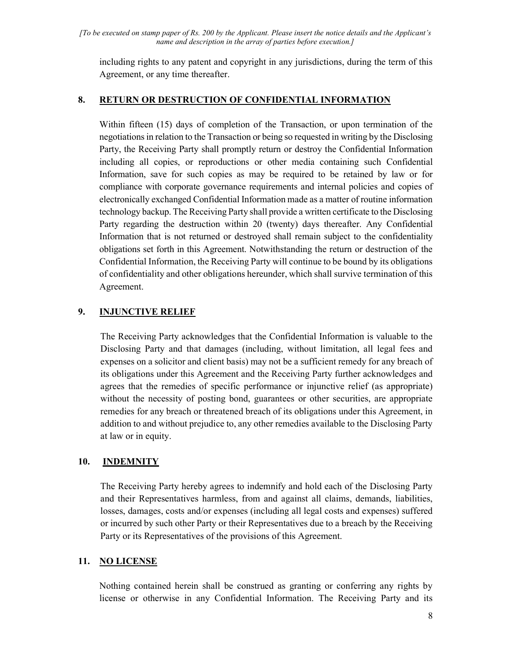including rights to any patent and copyright in any jurisdictions, during the term of this Agreement, or any time thereafter.

#### 8. RETURN OR DESTRUCTION OF CONFIDENTIAL INFORMATION

Within fifteen (15) days of completion of the Transaction, or upon termination of the negotiations in relation to the Transaction or being so requested in writing by the Disclosing Party, the Receiving Party shall promptly return or destroy the Confidential Information including all copies, or reproductions or other media containing such Confidential Information, save for such copies as may be required to be retained by law or for compliance with corporate governance requirements and internal policies and copies of electronically exchanged Confidential Information made as a matter of routine information technology backup. The Receiving Party shall provide a written certificate to the Disclosing Party regarding the destruction within 20 (twenty) days thereafter. Any Confidential Information that is not returned or destroyed shall remain subject to the confidentiality obligations set forth in this Agreement. Notwithstanding the return or destruction of the Confidential Information, the Receiving Party will continue to be bound by its obligations of confidentiality and other obligations hereunder, which shall survive termination of this Agreement.

### 9. INJUNCTIVE RELIEF

The Receiving Party acknowledges that the Confidential Information is valuable to the Disclosing Party and that damages (including, without limitation, all legal fees and expenses on a solicitor and client basis) may not be a sufficient remedy for any breach of its obligations under this Agreement and the Receiving Party further acknowledges and agrees that the remedies of specific performance or injunctive relief (as appropriate) without the necessity of posting bond, guarantees or other securities, are appropriate remedies for any breach or threatened breach of its obligations under this Agreement, in addition to and without prejudice to, any other remedies available to the Disclosing Party at law or in equity.

### 10. INDEMNITY

The Receiving Party hereby agrees to indemnify and hold each of the Disclosing Party and their Representatives harmless, from and against all claims, demands, liabilities, losses, damages, costs and/or expenses (including all legal costs and expenses) suffered or incurred by such other Party or their Representatives due to a breach by the Receiving Party or its Representatives of the provisions of this Agreement.

#### 11. NO LICENSE

Nothing contained herein shall be construed as granting or conferring any rights by license or otherwise in any Confidential Information. The Receiving Party and its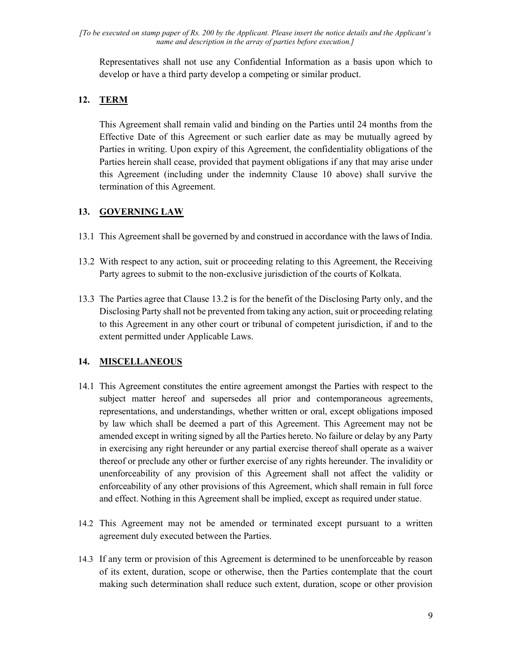Representatives shall not use any Confidential Information as a basis upon which to develop or have a third party develop a competing or similar product.

# 12. TERM

This Agreement shall remain valid and binding on the Parties until 24 months from the Effective Date of this Agreement or such earlier date as may be mutually agreed by Parties in writing. Upon expiry of this Agreement, the confidentiality obligations of the Parties herein shall cease, provided that payment obligations if any that may arise under this Agreement (including under the indemnity Clause 10 above) shall survive the termination of this Agreement.

# 13. GOVERNING LAW

- 13.1 This Agreement shall be governed by and construed in accordance with the laws of India.
- 13.2 With respect to any action, suit or proceeding relating to this Agreement, the Receiving Party agrees to submit to the non-exclusive jurisdiction of the courts of Kolkata.
- 13.3 The Parties agree that Clause 13.2 is for the benefit of the Disclosing Party only, and the Disclosing Party shall not be prevented from taking any action, suit or proceeding relating to this Agreement in any other court or tribunal of competent jurisdiction, if and to the extent permitted under Applicable Laws.

# 14. MISCELLANEOUS

- 14.1 This Agreement constitutes the entire agreement amongst the Parties with respect to the subject matter hereof and supersedes all prior and contemporaneous agreements, representations, and understandings, whether written or oral, except obligations imposed by law which shall be deemed a part of this Agreement. This Agreement may not be amended except in writing signed by all the Parties hereto. No failure or delay by any Party in exercising any right hereunder or any partial exercise thereof shall operate as a waiver thereof or preclude any other or further exercise of any rights hereunder. The invalidity or unenforceability of any provision of this Agreement shall not affect the validity or enforceability of any other provisions of this Agreement, which shall remain in full force and effect. Nothing in this Agreement shall be implied, except as required under statue.
- 14.2 This Agreement may not be amended or terminated except pursuant to a written agreement duly executed between the Parties.
- 14.3 If any term or provision of this Agreement is determined to be unenforceable by reason of its extent, duration, scope or otherwise, then the Parties contemplate that the court making such determination shall reduce such extent, duration, scope or other provision